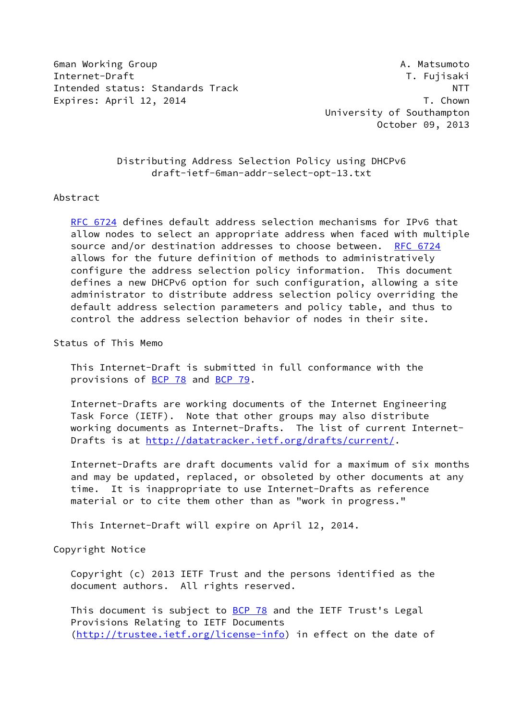6man Working Group A. Matsumoto Internet-Draft T. Fujisaki Intended status: Standards Track NTT Expires: April 12, 2014 T. Chown

 University of Southampton October 09, 2013

# Distributing Address Selection Policy using DHCPv6 draft-ietf-6man-addr-select-opt-13.txt

### Abstract

 [RFC 6724](https://datatracker.ietf.org/doc/pdf/rfc6724) defines default address selection mechanisms for IPv6 that allow nodes to select an appropriate address when faced with multiple source and/or destination addresses to choose between. [RFC 6724](https://datatracker.ietf.org/doc/pdf/rfc6724) allows for the future definition of methods to administratively configure the address selection policy information. This document defines a new DHCPv6 option for such configuration, allowing a site administrator to distribute address selection policy overriding the default address selection parameters and policy table, and thus to control the address selection behavior of nodes in their site.

Status of This Memo

 This Internet-Draft is submitted in full conformance with the provisions of [BCP 78](https://datatracker.ietf.org/doc/pdf/bcp78) and [BCP 79](https://datatracker.ietf.org/doc/pdf/bcp79).

 Internet-Drafts are working documents of the Internet Engineering Task Force (IETF). Note that other groups may also distribute working documents as Internet-Drafts. The list of current Internet- Drafts is at<http://datatracker.ietf.org/drafts/current/>.

 Internet-Drafts are draft documents valid for a maximum of six months and may be updated, replaced, or obsoleted by other documents at any time. It is inappropriate to use Internet-Drafts as reference material or to cite them other than as "work in progress."

This Internet-Draft will expire on April 12, 2014.

Copyright Notice

 Copyright (c) 2013 IETF Trust and the persons identified as the document authors. All rights reserved.

This document is subject to **[BCP 78](https://datatracker.ietf.org/doc/pdf/bcp78)** and the IETF Trust's Legal Provisions Relating to IETF Documents [\(http://trustee.ietf.org/license-info](http://trustee.ietf.org/license-info)) in effect on the date of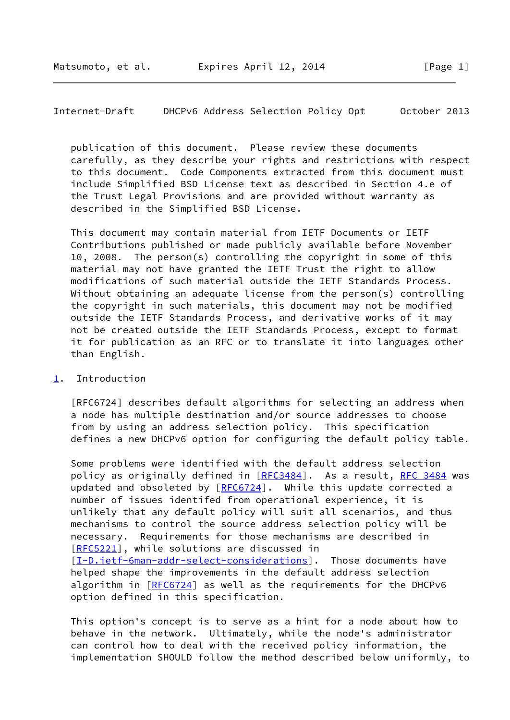# Internet-Draft DHCPv6 Address Selection Policy Opt October 2013

 publication of this document. Please review these documents carefully, as they describe your rights and restrictions with respect to this document. Code Components extracted from this document must include Simplified BSD License text as described in Section 4.e of the Trust Legal Provisions and are provided without warranty as described in the Simplified BSD License.

 This document may contain material from IETF Documents or IETF Contributions published or made publicly available before November 10, 2008. The person(s) controlling the copyright in some of this material may not have granted the IETF Trust the right to allow modifications of such material outside the IETF Standards Process. Without obtaining an adequate license from the person(s) controlling the copyright in such materials, this document may not be modified outside the IETF Standards Process, and derivative works of it may not be created outside the IETF Standards Process, except to format it for publication as an RFC or to translate it into languages other than English.

### <span id="page-1-0"></span>[1](#page-1-0). Introduction

 [RFC6724] describes default algorithms for selecting an address when a node has multiple destination and/or source addresses to choose from by using an address selection policy. This specification defines a new DHCPv6 option for configuring the default policy table.

 Some problems were identified with the default address selection policy as originally defined in [\[RFC3484](https://datatracker.ietf.org/doc/pdf/rfc3484)]. As a result, [RFC 3484](https://datatracker.ietf.org/doc/pdf/rfc3484) was updated and obsoleted by [\[RFC6724](https://datatracker.ietf.org/doc/pdf/rfc6724)]. While this update corrected a number of issues identifed from operational experience, it is unlikely that any default policy will suit all scenarios, and thus mechanisms to control the source address selection policy will be necessary. Requirements for those mechanisms are described in [\[RFC5221](https://datatracker.ietf.org/doc/pdf/rfc5221)], while solutions are discussed in [\[I-D.ietf-6man-addr-select-considerations](#page-9-0)]. Those documents have helped shape the improvements in the default address selection algorithm in [\[RFC6724](https://datatracker.ietf.org/doc/pdf/rfc6724)] as well as the requirements for the DHCPv6 option defined in this specification.

 This option's concept is to serve as a hint for a node about how to behave in the network. Ultimately, while the node's administrator can control how to deal with the received policy information, the implementation SHOULD follow the method described below uniformly, to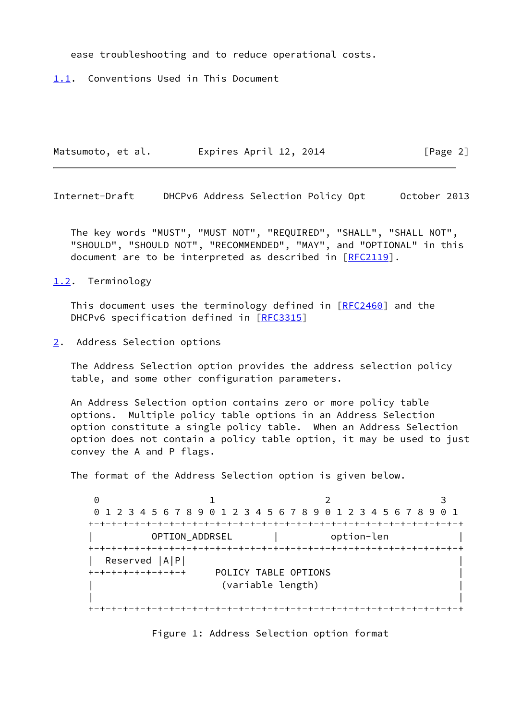ease troubleshooting and to reduce operational costs.

<span id="page-2-0"></span>[1.1](#page-2-0). Conventions Used in This Document

Matsumoto, et al. 
Expires April 12, 2014

[Page 2]

Internet-Draft DHCPv6 Address Selection Policy Opt October 2013

 The key words "MUST", "MUST NOT", "REQUIRED", "SHALL", "SHALL NOT", "SHOULD", "SHOULD NOT", "RECOMMENDED", "MAY", and "OPTIONAL" in this document are to be interpreted as described in [\[RFC2119](https://datatracker.ietf.org/doc/pdf/rfc2119)].

<span id="page-2-1"></span>[1.2](#page-2-1). Terminology

This document uses the terminology defined in [[RFC2460](https://datatracker.ietf.org/doc/pdf/rfc2460)] and the DHCPv6 specification defined in [\[RFC3315](https://datatracker.ietf.org/doc/pdf/rfc3315)]

<span id="page-2-2"></span>[2](#page-2-2). Address Selection options

 The Address Selection option provides the address selection policy table, and some other configuration parameters.

 An Address Selection option contains zero or more policy table options. Multiple policy table options in an Address Selection option constitute a single policy table. When an Address Selection option does not contain a policy table option, it may be used to just convey the A and P flags.

The format of the Address Selection option is given below.

0 1 2 3 0 1 2 3 4 5 6 7 8 9 0 1 2 3 4 5 6 7 8 9 0 1 2 3 4 5 6 7 8 9 0 1 +-+-+-+-+-+-+-+-+-+-+-+-+-+-+-+-+-+-+-+-+-+-+-+-+-+-+-+-+-+-+-+-+ | OPTION\_ADDRSEL | option-len | +-+-+-+-+-+-+-+-+-+-+-+-+-+-+-+-+-+-+-+-+-+-+-+-+-+-+-+-+-+-+-+-+ | Reserved |A|P| | +-+-+-+-+-+-+-+-+ POLICY TABLE OPTIONS | (variable length) | | +-+-+-+-+-+-+-+-+-+-+-+-+-+-+-+-+-+-+-+-+-+-+-+-+-+-+-+-+-+-+-+-+

Figure 1: Address Selection option format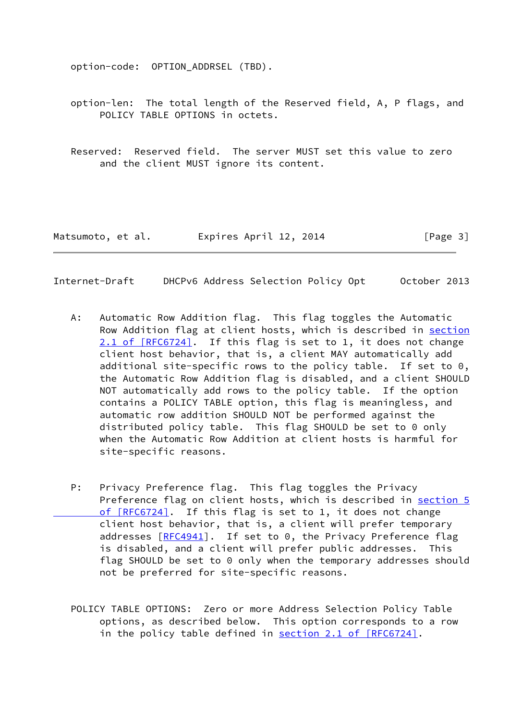option-code: OPTION\_ADDRSEL (TBD).

 option-len: The total length of the Reserved field, A, P flags, and POLICY TABLE OPTIONS in octets.

 Reserved: Reserved field. The server MUST set this value to zero and the client MUST ignore its content.

Matsumoto, et al. **Expires April 12, 2014** [Page 3]

Internet-Draft DHCPv6 Address Selection Policy Opt October 2013

- A: Automatic Row Addition flag. This flag toggles the Automatic Row Addition flag at client hosts, which is described in [section](https://datatracker.ietf.org/doc/pdf/rfc6724#section-2.1) [2.1 of \[RFC6724\]](https://datatracker.ietf.org/doc/pdf/rfc6724#section-2.1). If this flag is set to 1, it does not change client host behavior, that is, a client MAY automatically add additional site-specific rows to the policy table. If set to 0, the Automatic Row Addition flag is disabled, and a client SHOULD NOT automatically add rows to the policy table. If the option contains a POLICY TABLE option, this flag is meaningless, and automatic row addition SHOULD NOT be performed against the distributed policy table. This flag SHOULD be set to 0 only when the Automatic Row Addition at client hosts is harmful for site-specific reasons.
- P: Privacy Preference flag. This flag toggles the Privacy Preference flag on client hosts, which is described in [section](https://datatracker.ietf.org/doc/pdf/rfc6724#section-5) 5 of [RFC6724]. If this flag is set to 1, it does not change client host behavior, that is, a client will prefer temporary addresses  $[REC4941]$ . If set to 0, the Privacy Preference flag is disabled, and a client will prefer public addresses. This flag SHOULD be set to 0 only when the temporary addresses should not be preferred for site-specific reasons.
	- POLICY TABLE OPTIONS: Zero or more Address Selection Policy Table options, as described below. This option corresponds to a row in the policy table defined in section [2.1 of \[RFC6724\].](https://datatracker.ietf.org/doc/pdf/rfc6724#section-2.1)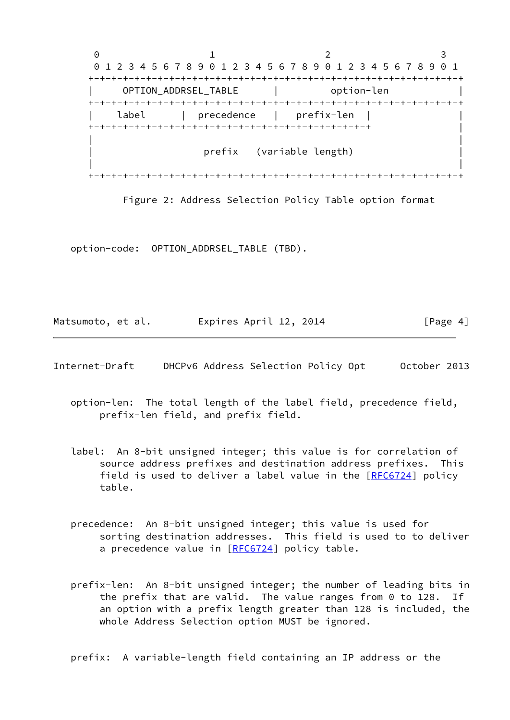

Figure 2: Address Selection Policy Table option format

option-code: OPTION\_ADDRSEL\_TABLE (TBD).

Matsumoto, et al. 
Expires April 12, 2014

[Page 4]

Internet-Draft DHCPv6 Address Selection Policy Opt October 2013

- option-len: The total length of the label field, precedence field, prefix-len field, and prefix field.
- label: An 8-bit unsigned integer; this value is for correlation of source address prefixes and destination address prefixes. This field is used to deliver a label value in the [[RFC6724\]](https://datatracker.ietf.org/doc/pdf/rfc6724) policy table.
- precedence: An 8-bit unsigned integer; this value is used for sorting destination addresses. This field is used to to deliver a precedence value in [[RFC6724\]](https://datatracker.ietf.org/doc/pdf/rfc6724) policy table.
- prefix-len: An 8-bit unsigned integer; the number of leading bits in the prefix that are valid. The value ranges from 0 to 128. If an option with a prefix length greater than 128 is included, the whole Address Selection option MUST be ignored.

prefix: A variable-length field containing an IP address or the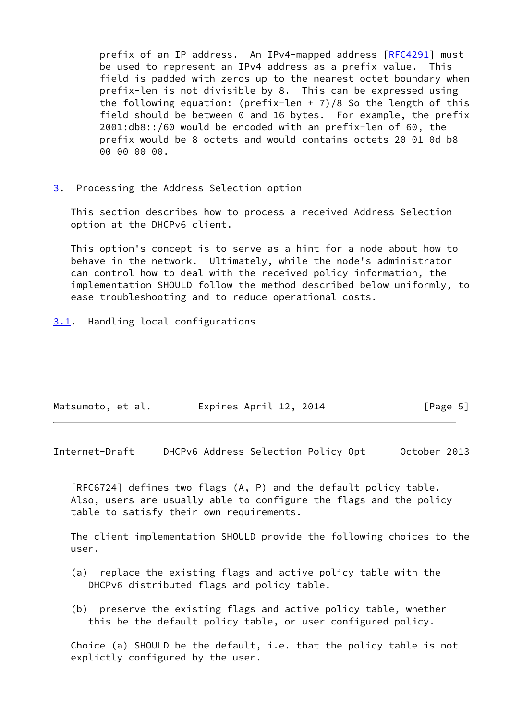prefix of an IP address. An IPv4-mapped address [[RFC4291](https://datatracker.ietf.org/doc/pdf/rfc4291)] must be used to represent an IPv4 address as a prefix value. This field is padded with zeros up to the nearest octet boundary when prefix-len is not divisible by 8. This can be expressed using the following equation: (prefix-len + 7)/8 So the length of this field should be between 0 and 16 bytes. For example, the prefix 2001:db8::/60 would be encoded with an prefix-len of 60, the prefix would be 8 octets and would contains octets 20 01 0d b8 00 00 00 00.

<span id="page-5-0"></span>[3](#page-5-0). Processing the Address Selection option

 This section describes how to process a received Address Selection option at the DHCPv6 client.

 This option's concept is to serve as a hint for a node about how to behave in the network. Ultimately, while the node's administrator can control how to deal with the received policy information, the implementation SHOULD follow the method described below uniformly, to ease troubleshooting and to reduce operational costs.

<span id="page-5-1"></span>[3.1](#page-5-1). Handling local configurations

| Matsumoto, et al. | Expires April 12, 2014 | [Page 5] |
|-------------------|------------------------|----------|
|-------------------|------------------------|----------|

Internet-Draft DHCPv6 Address Selection Policy Opt October 2013

 [RFC6724] defines two flags (A, P) and the default policy table. Also, users are usually able to configure the flags and the policy table to satisfy their own requirements.

 The client implementation SHOULD provide the following choices to the user.

- (a) replace the existing flags and active policy table with the DHCPv6 distributed flags and policy table.
- (b) preserve the existing flags and active policy table, whether this be the default policy table, or user configured policy.

 Choice (a) SHOULD be the default, i.e. that the policy table is not explictly configured by the user.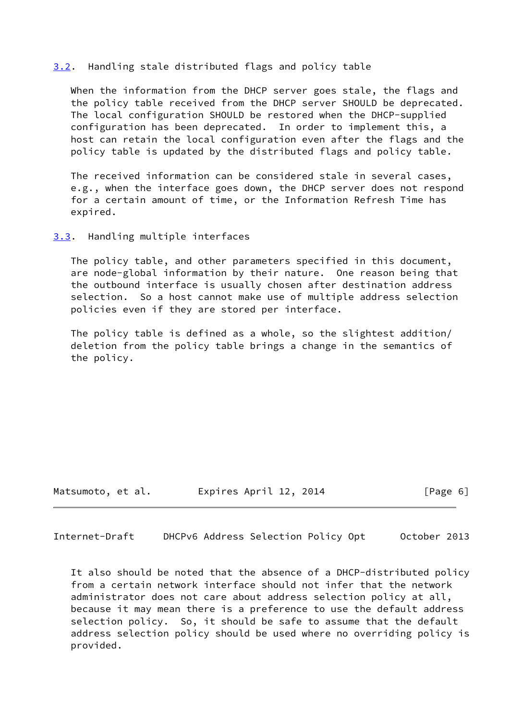## <span id="page-6-0"></span>[3.2](#page-6-0). Handling stale distributed flags and policy table

 When the information from the DHCP server goes stale, the flags and the policy table received from the DHCP server SHOULD be deprecated. The local configuration SHOULD be restored when the DHCP-supplied configuration has been deprecated. In order to implement this, a host can retain the local configuration even after the flags and the policy table is updated by the distributed flags and policy table.

 The received information can be considered stale in several cases, e.g., when the interface goes down, the DHCP server does not respond for a certain amount of time, or the Information Refresh Time has expired.

<span id="page-6-1"></span>[3.3](#page-6-1). Handling multiple interfaces

 The policy table, and other parameters specified in this document, are node-global information by their nature. One reason being that the outbound interface is usually chosen after destination address selection. So a host cannot make use of multiple address selection policies even if they are stored per interface.

 The policy table is defined as a whole, so the slightest addition/ deletion from the policy table brings a change in the semantics of the policy.

Matsumoto, et al. <br>
Expires April 12, 2014 [Page 6]

Internet-Draft DHCPv6 Address Selection Policy Opt October 2013

 It also should be noted that the absence of a DHCP-distributed policy from a certain network interface should not infer that the network administrator does not care about address selection policy at all, because it may mean there is a preference to use the default address selection policy. So, it should be safe to assume that the default address selection policy should be used where no overriding policy is provided.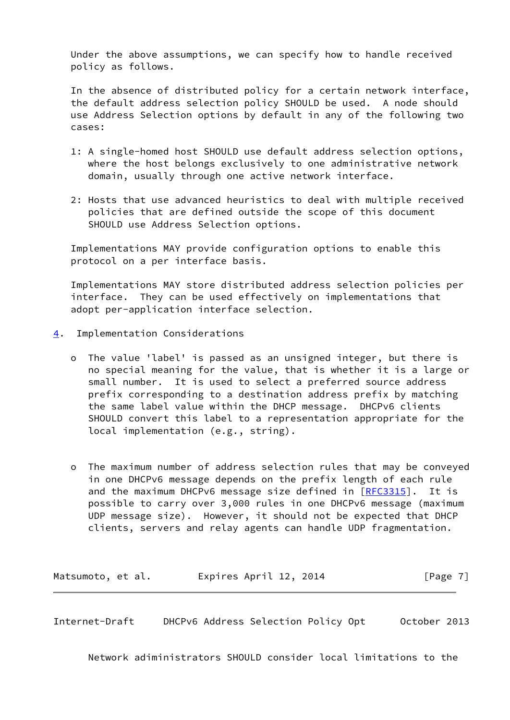Under the above assumptions, we can specify how to handle received policy as follows.

 In the absence of distributed policy for a certain network interface, the default address selection policy SHOULD be used. A node should use Address Selection options by default in any of the following two cases:

- 1: A single-homed host SHOULD use default address selection options, where the host belongs exclusively to one administrative network domain, usually through one active network interface.
- 2: Hosts that use advanced heuristics to deal with multiple received policies that are defined outside the scope of this document SHOULD use Address Selection options.

 Implementations MAY provide configuration options to enable this protocol on a per interface basis.

 Implementations MAY store distributed address selection policies per interface. They can be used effectively on implementations that adopt per-application interface selection.

- <span id="page-7-0"></span>[4](#page-7-0). Implementation Considerations
	- o The value 'label' is passed as an unsigned integer, but there is no special meaning for the value, that is whether it is a large or small number. It is used to select a preferred source address prefix corresponding to a destination address prefix by matching the same label value within the DHCP message. DHCPv6 clients SHOULD convert this label to a representation appropriate for the local implementation (e.g., string).
	- o The maximum number of address selection rules that may be conveyed in one DHCPv6 message depends on the prefix length of each rule and the maximum DHCPv6 message size defined in  $[REC3315]$ . It is possible to carry over 3,000 rules in one DHCPv6 message (maximum UDP message size). However, it should not be expected that DHCP clients, servers and relay agents can handle UDP fragmentation.

Matsumoto, et al. 
Expires April 12, 2014

[Page 7]

Internet-Draft DHCPv6 Address Selection Policy Opt October 2013

Network adiministrators SHOULD consider local limitations to the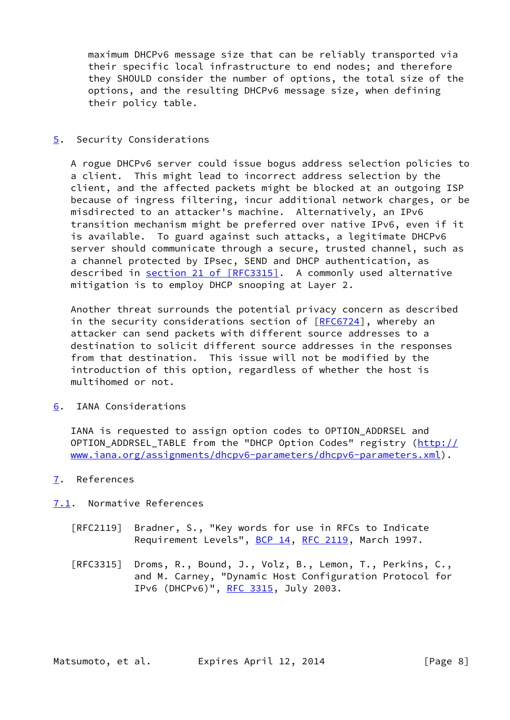maximum DHCPv6 message size that can be reliably transported via their specific local infrastructure to end nodes; and therefore they SHOULD consider the number of options, the total size of the options, and the resulting DHCPv6 message size, when defining their policy table.

## <span id="page-8-0"></span>[5](#page-8-0). Security Considerations

 A rogue DHCPv6 server could issue bogus address selection policies to a client. This might lead to incorrect address selection by the client, and the affected packets might be blocked at an outgoing ISP because of ingress filtering, incur additional network charges, or be misdirected to an attacker's machine. Alternatively, an IPv6 transition mechanism might be preferred over native IPv6, even if it is available. To guard against such attacks, a legitimate DHCPv6 server should communicate through a secure, trusted channel, such as a channel protected by IPsec, SEND and DHCP authentication, as described in section [21 of \[RFC3315\]](https://datatracker.ietf.org/doc/pdf/rfc3315#section-21). A commonly used alternative mitigation is to employ DHCP snooping at Layer 2.

 Another threat surrounds the potential privacy concern as described in the security considerations section of  $[REC6724]$ , whereby an attacker can send packets with different source addresses to a destination to solicit different source addresses in the responses from that destination. This issue will not be modified by the introduction of this option, regardless of whether the host is multihomed or not.

<span id="page-8-1"></span>[6](#page-8-1). IANA Considerations

 IANA is requested to assign option codes to OPTION\_ADDRSEL and OPTION\_ADDRSEL\_TABLE from the "DHCP Option Codes" registry ([http://](http://www.iana.org/assignments/dhcpv6-parameters/dhcpv6-parameters.xml) [www.iana.org/assignments/dhcpv6-parameters/dhcpv6-parameters.xml](http://www.iana.org/assignments/dhcpv6-parameters/dhcpv6-parameters.xml)).

<span id="page-8-2"></span>[7](#page-8-2). References

<span id="page-8-3"></span>[7.1](#page-8-3). Normative References

- [RFC2119] Bradner, S., "Key words for use in RFCs to Indicate Requirement Levels", [BCP 14](https://datatracker.ietf.org/doc/pdf/bcp14), [RFC 2119](https://datatracker.ietf.org/doc/pdf/rfc2119), March 1997.
- [RFC3315] Droms, R., Bound, J., Volz, B., Lemon, T., Perkins, C., and M. Carney, "Dynamic Host Configuration Protocol for IPv6 (DHCPv6)", [RFC 3315,](https://datatracker.ietf.org/doc/pdf/rfc3315) July 2003.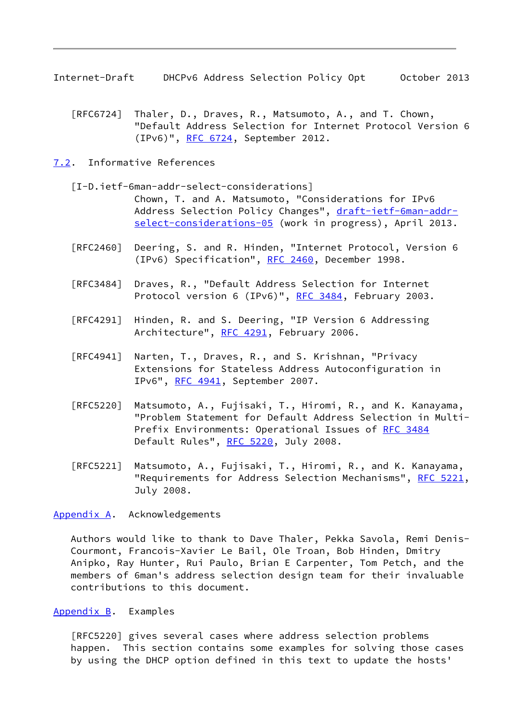Internet-Draft DHCPv6 Address Selection Policy Opt October 2013

- [RFC6724] Thaler, D., Draves, R., Matsumoto, A., and T. Chown, "Default Address Selection for Internet Protocol Version 6 (IPv6)", [RFC 6724,](https://datatracker.ietf.org/doc/pdf/rfc6724) September 2012.
- <span id="page-9-1"></span><span id="page-9-0"></span>[7.2](#page-9-1). Informative References
	- [I-D.ietf-6man-addr-select-considerations] Chown, T. and A. Matsumoto, "Considerations for IPv6 Address Selection Policy Changes", [draft-ietf-6man-addr](https://datatracker.ietf.org/doc/pdf/draft-ietf-6man-addr-select-considerations-05) [select-considerations-05](https://datatracker.ietf.org/doc/pdf/draft-ietf-6man-addr-select-considerations-05) (work in progress), April 2013.
	- [RFC2460] Deering, S. and R. Hinden, "Internet Protocol, Version 6 (IPv6) Specification", [RFC 2460](https://datatracker.ietf.org/doc/pdf/rfc2460), December 1998.
	- [RFC3484] Draves, R., "Default Address Selection for Internet Protocol version 6 (IPv6)", [RFC 3484,](https://datatracker.ietf.org/doc/pdf/rfc3484) February 2003.
	- [RFC4291] Hinden, R. and S. Deering, "IP Version 6 Addressing Architecture", [RFC 4291](https://datatracker.ietf.org/doc/pdf/rfc4291), February 2006.
	- [RFC4941] Narten, T., Draves, R., and S. Krishnan, "Privacy Extensions for Stateless Address Autoconfiguration in IPv6", [RFC 4941](https://datatracker.ietf.org/doc/pdf/rfc4941), September 2007.
	- [RFC5220] Matsumoto, A., Fujisaki, T., Hiromi, R., and K. Kanayama, "Problem Statement for Default Address Selection in Multi- Prefix Environments: Operational Issues of [RFC 3484](https://datatracker.ietf.org/doc/pdf/rfc3484) Default Rules", [RFC 5220,](https://datatracker.ietf.org/doc/pdf/rfc5220) July 2008.
	- [RFC5221] Matsumoto, A., Fujisaki, T., Hiromi, R., and K. Kanayama, "Requirements for Address Selection Mechanisms", [RFC 5221,](https://datatracker.ietf.org/doc/pdf/rfc5221) July 2008.

#### <span id="page-9-2"></span>[Appendix A.](#page-9-2) Acknowledgements

 Authors would like to thank to Dave Thaler, Pekka Savola, Remi Denis- Courmont, Francois-Xavier Le Bail, Ole Troan, Bob Hinden, Dmitry Anipko, Ray Hunter, Rui Paulo, Brian E Carpenter, Tom Petch, and the members of 6man's address selection design team for their invaluable contributions to this document.

#### <span id="page-9-3"></span>[Appendix B.](#page-9-3) Examples

 [RFC5220] gives several cases where address selection problems happen. This section contains some examples for solving those cases by using the DHCP option defined in this text to update the hosts'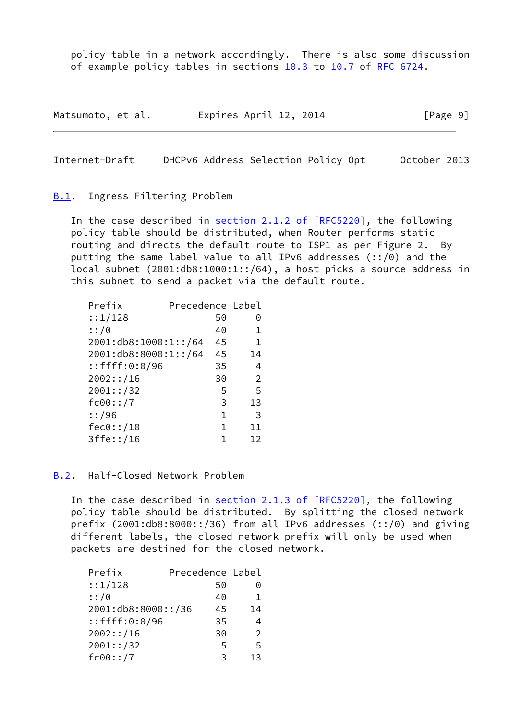policy table in a network accordingly. There is also some discussion of example policy tables in sections 10.3 to 10.7 of [RFC 6724](https://datatracker.ietf.org/doc/pdf/rfc6724).

| Matsumoto, et al. | Expires April 12, 2014 | [Page 9] |
|-------------------|------------------------|----------|
|-------------------|------------------------|----------|

Internet-Draft DHCPv6 Address Selection Policy Opt October 2013

#### <span id="page-10-0"></span>**[B.1](#page-10-0).** Ingress Filtering Problem

In the case described in section [2.1.2 of \[RFC5220\],](https://datatracker.ietf.org/doc/pdf/rfc5220#section-2.1.2) the following policy table should be distributed, when Router performs static routing and directs the default route to ISP1 as per Figure 2. By putting the same label value to all IPv6 addresses (::/0) and the local subnet (2001:db8:1000:1::/64), a host picks a source address in this subnet to send a packet via the default route.

| Prefix               | Precedence Label |                |
|----------------------|------------------|----------------|
| ::1/128              | 50               | Θ              |
| ::/0                 | 40               | 1              |
| 2001:db8:1000:1::/64 | 45               | 1              |
| 2001:db8:8000:1::/64 | 45               | 14             |
| $:$ :ffff:0:0/96     | 35               | 4              |
| 2002::/16            | 30               | $\overline{2}$ |
| 2001::/32            | 5                | 5              |
| fc00::/7             | 3                | 13             |
| ::/96                | $\mathbf 1$      | 3              |
| fec0::/10            | 1                | 11             |
| 3ffe::/16            | 1                | 12             |

<span id="page-10-1"></span>[B.2](#page-10-1). Half-Closed Network Problem

In the case described in section [2.1.3 of \[RFC5220\],](https://datatracker.ietf.org/doc/pdf/rfc5220#section-2.1.3) the following policy table should be distributed. By splitting the closed network prefix  $(2001:db8:8000::/36)$  from all IPv6 addresses  $(:!/0)$  and giving different labels, the closed network prefix will only be used when packets are destined for the closed network.

| Prefix             | Precedence Label |    |
|--------------------|------------------|----|
| ::1/128            | 50               | 0  |
| ::/0               | 40               | 1  |
| 2001:db8:8000::/36 | 45               | 14 |
| $:$ :ffff:0:0/96   | 35               | 4  |
| 2002::/16          | 30               | 2  |
| 2001::/32          | 5                | 5  |
| fc00::/7           | κ                | 13 |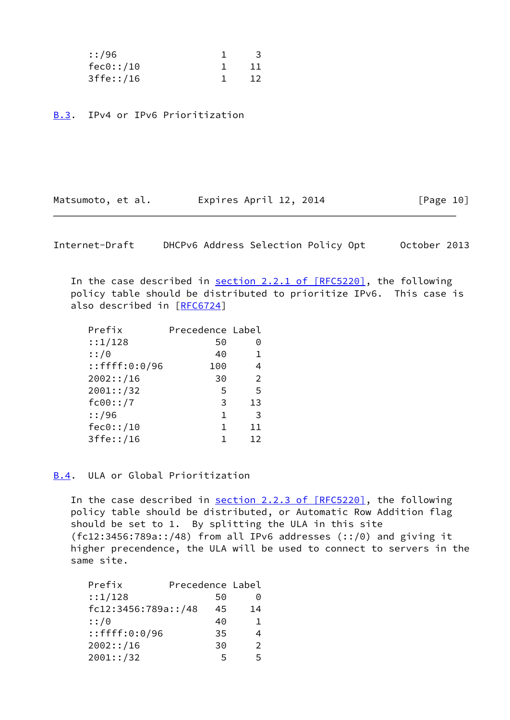| ::/96     | -3    |
|-----------|-------|
| fcc0::/10 | -11   |
| 3ffe::/16 | $-12$ |

<span id="page-11-0"></span>[B.3](#page-11-0). IPv4 or IPv6 Prioritization

Matsumoto, et al. 
Expires April 12, 2014

[Page 10]

Internet-Draft DHCPv6 Address Selection Policy Opt October 2013

In the case described in section [2.2.1 of \[RFC5220\],](https://datatracker.ietf.org/doc/pdf/rfc5220#section-2.2.1) the following policy table should be distributed to prioritize IPv6. This case is also described in [[RFC6724](https://datatracker.ietf.org/doc/pdf/rfc6724)]

| Prefix           | Precedence Label |    |
|------------------|------------------|----|
| ::1/128          | 50               | 0  |
| ::/0             | 40               |    |
| $:$ :ffff:0:0/96 | 100              | 4  |
| 2002::/16        | 30               | 2  |
| 2001::/32        | 5                | 5  |
| fc00::/7         | 3                | 13 |
| : 196            | 1                | 3  |
| fec0::/10        | 1                | 11 |
| 3ffe::/16        |                  | 12 |

<span id="page-11-1"></span>[B.4](#page-11-1). ULA or Global Prioritization

In the case described in section [2.2.3 of \[RFC5220\],](https://datatracker.ietf.org/doc/pdf/rfc5220#section-2.2.3) the following policy table should be distributed, or Automatic Row Addition flag should be set to 1. By splitting the ULA in this site  $(fc12:3456:789a::/48)$  from all IPv6 addresses  $(:!/0)$  and giving it higher precendence, the ULA will be used to connect to servers in the same site.

| Prefix              | Precedence Label |               |
|---------------------|------------------|---------------|
| ::1/128             | 50               | 0             |
| fc12:3456:789a::/48 | 45               | 14            |
| ::/0                | 40               | 1.            |
| $:$ :ffff:0:0/96    | 35               |               |
| 2002::/16           | 30               | $\mathcal{P}$ |
| 2001::/32           | 5                | 5             |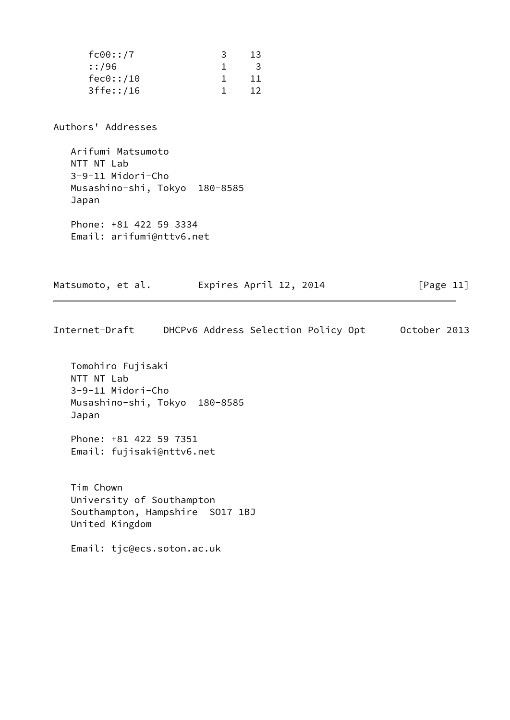| fc00::/7  | 13. |
|-----------|-----|
| ::/96     | 3   |
| fec0::/10 | 11. |
| 3ffe::/16 | 12. |

Authors' Addresses

 Arifumi Matsumoto NTT NT Lab 3-9-11 Midori-Cho Musashino-shi, Tokyo 180-8585 Japan

 Phone: +81 422 59 3334 Email: arifumi@nttv6.net

Matsumoto, et al. **Expires April 12, 2014** 
[Page 11]

Internet-Draft DHCPv6 Address Selection Policy Opt October 2013

 Tomohiro Fujisaki NTT NT Lab 3-9-11 Midori-Cho Musashino-shi, Tokyo 180-8585 Japan

 Phone: +81 422 59 7351 Email: fujisaki@nttv6.net

 Tim Chown University of Southampton Southampton, Hampshire SO17 1BJ United Kingdom

Email: tjc@ecs.soton.ac.uk